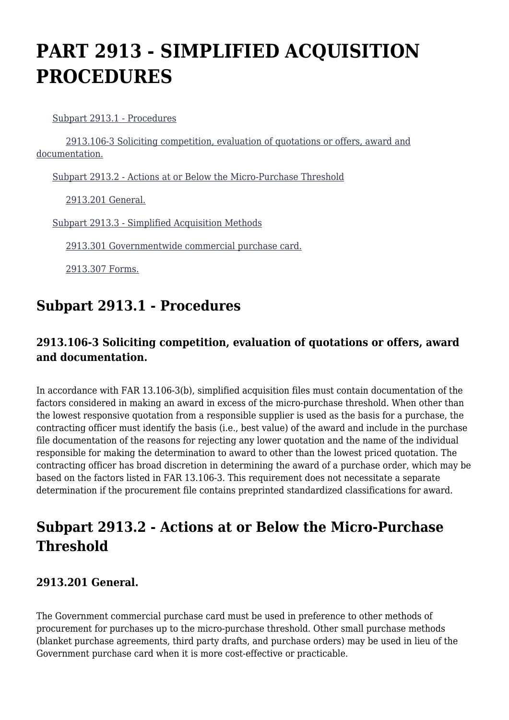# **PART 2913 - SIMPLIFIED ACQUISITION PROCEDURES**

[Subpart 2913.1 - Procedures](https://www.acquisition.gov/%5Brp:link:dolar-part-2913%5D#Subpart_2913_1_T48_7012141)

 [2913.106-3 Soliciting competition, evaluation of quotations or offers, award and](https://www.acquisition.gov/%5Brp:link:dolar-part-2913%5D#Section_2913_106_3_T48_701214111) [documentation.](https://www.acquisition.gov/%5Brp:link:dolar-part-2913%5D#Section_2913_106_3_T48_701214111)

[Subpart 2913.2 - Actions at or Below the Micro-Purchase Threshold](https://www.acquisition.gov/%5Brp:link:dolar-part-2913%5D#Subpart_2913_2_T48_7012142)

[2913.201 General.](https://www.acquisition.gov/%5Brp:link:dolar-part-2913%5D#Section_2913_201_T48_701214211)

[Subpart 2913.3 - Simplified Acquisition Methods](https://www.acquisition.gov/%5Brp:link:dolar-part-2913%5D#Subpart_2913_3_T48_7012143)

[2913.301 Governmentwide commercial purchase card.](https://www.acquisition.gov/%5Brp:link:dolar-part-2913%5D#Section_2913_301_T48_701214311)

[2913.307 Forms.](https://www.acquisition.gov/%5Brp:link:dolar-part-2913%5D#Section_2913_307_T48_701214312)

### **Subpart 2913.1 - Procedures**

#### **2913.106-3 Soliciting competition, evaluation of quotations or offers, award and documentation.**

In accordance with FAR 13.106-3(b), simplified acquisition files must contain documentation of the factors considered in making an award in excess of the micro-purchase threshold. When other than the lowest responsive quotation from a responsible supplier is used as the basis for a purchase, the contracting officer must identify the basis (i.e., best value) of the award and include in the purchase file documentation of the reasons for rejecting any lower quotation and the name of the individual responsible for making the determination to award to other than the lowest priced quotation. The contracting officer has broad discretion in determining the award of a purchase order, which may be based on the factors listed in FAR 13.106-3. This requirement does not necessitate a separate determination if the procurement file contains preprinted standardized classifications for award.

## **Subpart 2913.2 - Actions at or Below the Micro-Purchase Threshold**

#### **2913.201 General.**

The Government commercial purchase card must be used in preference to other methods of procurement for purchases up to the micro-purchase threshold. Other small purchase methods (blanket purchase agreements, third party drafts, and purchase orders) may be used in lieu of the Government purchase card when it is more cost-effective or practicable.